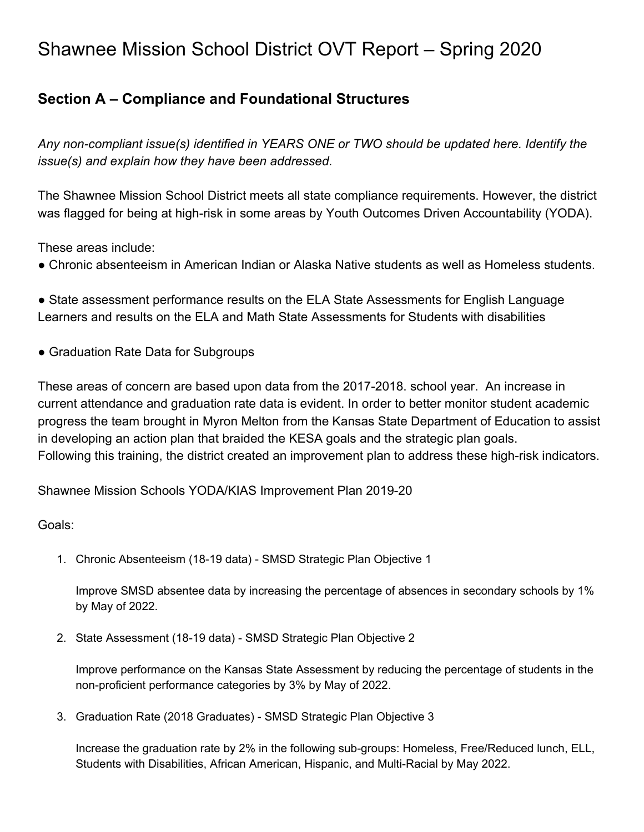# Shawnee Mission School District OVT Report – Spring 2020

# **Section A – Compliance and Foundational Structures**

*Any non-compliant issue(s) identified in YEARS ONE or TWO should be updated here. Identify the issue(s) and explain how they have been addressed.*

The Shawnee Mission School District meets all state compliance requirements. However, the district was flagged for being at high-risk in some areas by Youth Outcomes Driven Accountability (YODA).

These areas include:

● Chronic absenteeism in American Indian or Alaska Native students as well as Homeless students.

• State assessment performance results on the ELA State Assessments for English Language Learners and results on the ELA and Math State Assessments for Students with disabilities

• Graduation Rate Data for Subgroups

These areas of concern are based upon data from the 2017-2018. school year. An increase in current attendance and graduation rate data is evident. In order to better monitor student academic progress the team brought in Myron Melton from the Kansas State Department of Education to assist in developing an action plan that braided the KESA goals and the strategic plan goals. Following this training, the district created an improvement plan to address these high-risk indicators.

Shawnee Mission Schools YODA/KIAS Improvement Plan 2019-20

Goals:

1. Chronic Absenteeism (18-19 data) - SMSD Strategic Plan Objective 1

Improve SMSD absentee data by increasing the percentage of absences in secondary schools by 1% by May of 2022.

2. State Assessment (18-19 data) - SMSD Strategic Plan Objective 2

Improve performance on the Kansas State Assessment by reducing the percentage of students in the non-proficient performance categories by 3% by May of 2022.

3. Graduation Rate (2018 Graduates) - SMSD Strategic Plan Objective 3

Increase the graduation rate by 2% in the following sub-groups: Homeless, Free/Reduced lunch, ELL, Students with Disabilities, African American, Hispanic, and Multi-Racial by May 2022.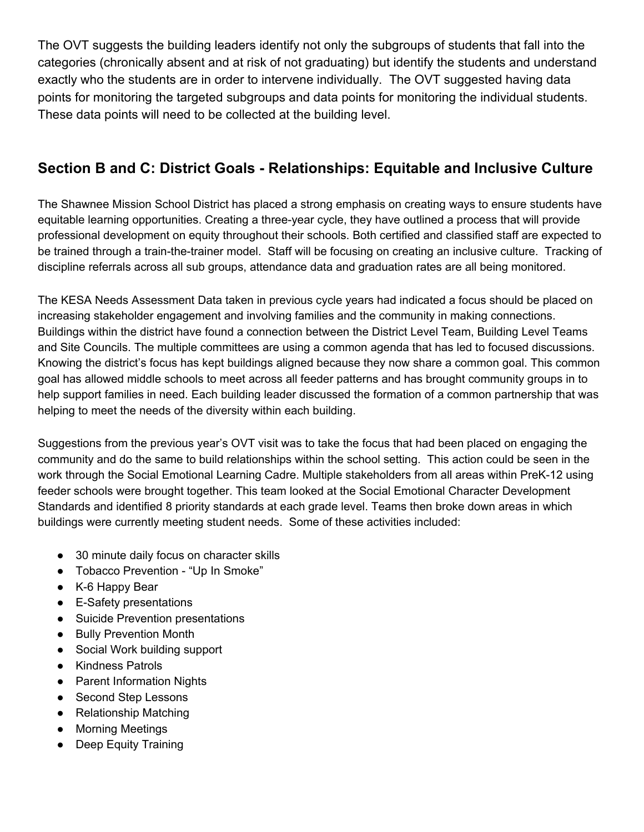The OVT suggests the building leaders identify not only the subgroups of students that fall into the categories (chronically absent and at risk of not graduating) but identify the students and understand exactly who the students are in order to intervene individually. The OVT suggested having data points for monitoring the targeted subgroups and data points for monitoring the individual students. These data points will need to be collected at the building level.

# **Section B and C: District Goals - Relationships: Equitable and Inclusive Culture**

The Shawnee Mission School District has placed a strong emphasis on creating ways to ensure students have equitable learning opportunities. Creating a three-year cycle, they have outlined a process that will provide professional development on equity throughout their schools. Both certified and classified staff are expected to be trained through a train-the-trainer model. Staff will be focusing on creating an inclusive culture. Tracking of discipline referrals across all sub groups, attendance data and graduation rates are all being monitored.

The KESA Needs Assessment Data taken in previous cycle years had indicated a focus should be placed on increasing stakeholder engagement and involving families and the community in making connections. Buildings within the district have found a connection between the District Level Team, Building Level Teams and Site Councils. The multiple committees are using a common agenda that has led to focused discussions. Knowing the district's focus has kept buildings aligned because they now share a common goal. This common goal has allowed middle schools to meet across all feeder patterns and has brought community groups in to help support families in need. Each building leader discussed the formation of a common partnership that was helping to meet the needs of the diversity within each building.

Suggestions from the previous year's OVT visit was to take the focus that had been placed on engaging the community and do the same to build relationships within the school setting. This action could be seen in the work through the Social Emotional Learning Cadre. Multiple stakeholders from all areas within PreK-12 using feeder schools were brought together. This team looked at the Social Emotional Character Development Standards and identified 8 priority standards at each grade level. Teams then broke down areas in which buildings were currently meeting student needs. Some of these activities included:

- 30 minute daily focus on character skills
- Tobacco Prevention "Up In Smoke"
- K-6 Happy Bear
- E-Safety presentations
- Suicide Prevention presentations
- Bully Prevention Month
- Social Work building support
- Kindness Patrols
- Parent Information Nights
- Second Step Lessons
- Relationship Matching
- Morning Meetings
- Deep Equity Training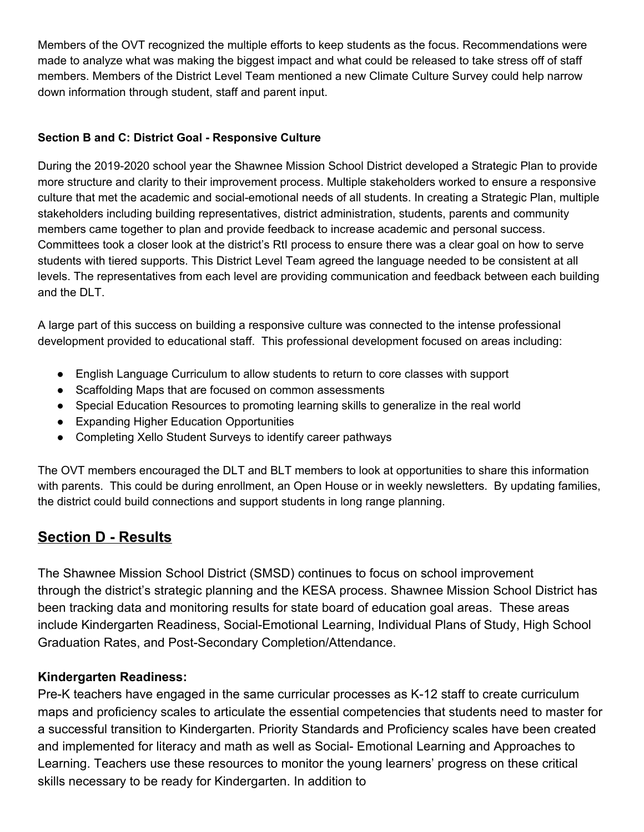Members of the OVT recognized the multiple efforts to keep students as the focus. Recommendations were made to analyze what was making the biggest impact and what could be released to take stress off of staff members. Members of the District Level Team mentioned a new Climate Culture Survey could help narrow down information through student, staff and parent input.

#### **Section B and C: District Goal - Responsive Culture**

During the 2019-2020 school year the Shawnee Mission School District developed a Strategic Plan to provide more structure and clarity to their improvement process. Multiple stakeholders worked to ensure a responsive culture that met the academic and social-emotional needs of all students. In creating a Strategic Plan, multiple stakeholders including building representatives, district administration, students, parents and community members came together to plan and provide feedback to increase academic and personal success. Committees took a closer look at the district's RtI process to ensure there was a clear goal on how to serve students with tiered supports. This District Level Team agreed the language needed to be consistent at all levels. The representatives from each level are providing communication and feedback between each building and the DLT.

A large part of this success on building a responsive culture was connected to the intense professional development provided to educational staff. This professional development focused on areas including:

- English Language Curriculum to allow students to return to core classes with support
- Scaffolding Maps that are focused on common assessments
- Special Education Resources to promoting learning skills to generalize in the real world
- Expanding Higher Education Opportunities
- Completing Xello Student Surveys to identify career pathways

The OVT members encouraged the DLT and BLT members to look at opportunities to share this information with parents. This could be during enrollment, an Open House or in weekly newsletters. By updating families, the district could build connections and support students in long range planning.

## **Section D - Results**

The Shawnee Mission School District (SMSD) continues to focus on school improvement through the district's strategic planning and the KESA process. Shawnee Mission School District has been tracking data and monitoring results for state board of education goal areas. These areas include Kindergarten Readiness, Social-Emotional Learning, Individual Plans of Study, High School Graduation Rates, and Post-Secondary Completion/Attendance.

#### **Kindergarten Readiness:**

Pre-K teachers have engaged in the same curricular processes as K-12 staff to create curriculum maps and proficiency scales to articulate the essential competencies that students need to master for a successful transition to Kindergarten. Priority Standards and Proficiency scales have been created and implemented for literacy and math as well as Social- Emotional Learning and Approaches to Learning. Teachers use these resources to monitor the young learners' progress on these critical skills necessary to be ready for Kindergarten. In addition to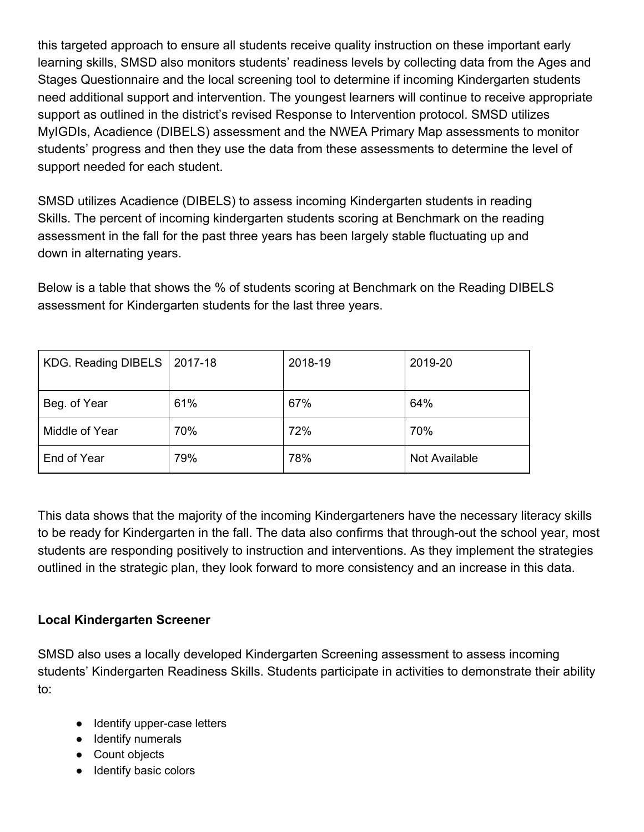this targeted approach to ensure all students receive quality instruction on these important early learning skills, SMSD also monitors students' readiness levels by collecting data from the Ages and Stages Questionnaire and the local screening tool to determine if incoming Kindergarten students need additional support and intervention. The youngest learners will continue to receive appropriate support as outlined in the district's revised Response to Intervention protocol. SMSD utilizes MyIGDIs, Acadience (DIBELS) assessment and the NWEA Primary Map assessments to monitor students' progress and then they use the data from these assessments to determine the level of support needed for each student.

SMSD utilizes Acadience (DIBELS) to assess incoming Kindergarten students in reading Skills. The percent of incoming kindergarten students scoring at Benchmark on the reading assessment in the fall for the past three years has been largely stable fluctuating up and down in alternating years.

Below is a table that shows the % of students scoring at Benchmark on the Reading DIBELS assessment for Kindergarten students for the last three years.

| KDG. Reading DIBELS | 2017-18 | 2018-19 | 2019-20       |
|---------------------|---------|---------|---------------|
| Beg. of Year        | 61%     | 67%     | 64%           |
| Middle of Year      | 70%     | 72%     | 70%           |
| End of Year         | 79%     | 78%     | Not Available |

This data shows that the majority of the incoming Kindergarteners have the necessary literacy skills to be ready for Kindergarten in the fall. The data also confirms that through-out the school year, most students are responding positively to instruction and interventions. As they implement the strategies outlined in the strategic plan, they look forward to more consistency and an increase in this data.

#### **Local Kindergarten Screener**

SMSD also uses a locally developed Kindergarten Screening assessment to assess incoming students' Kindergarten Readiness Skills. Students participate in activities to demonstrate their ability to:

- Identify upper-case letters
- Identify numerals
- Count objects
- Identify basic colors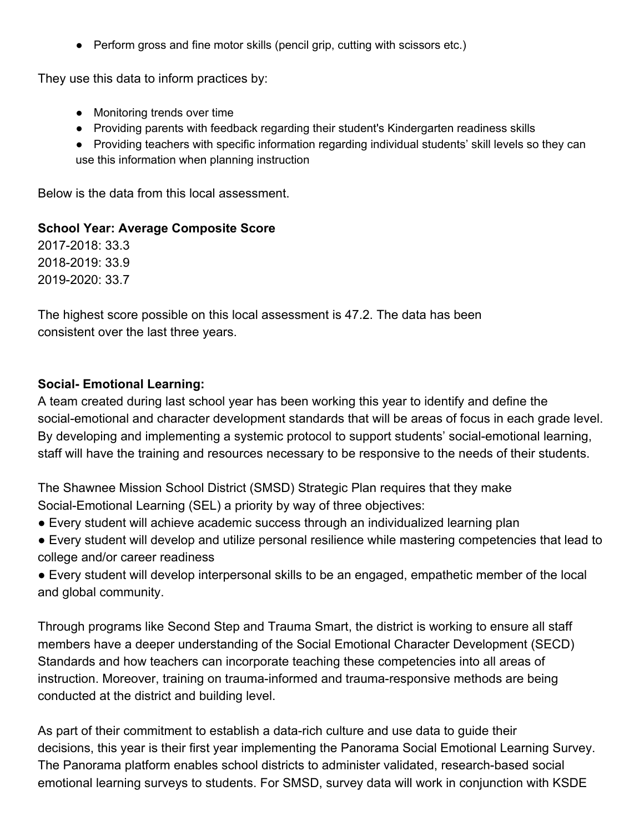● Perform gross and fine motor skills (pencil grip, cutting with scissors etc.)

They use this data to inform practices by:

- Monitoring trends over time
- Providing parents with feedback regarding their student's Kindergarten readiness skills
- Providing teachers with specific information regarding individual students' skill levels so they can use this information when planning instruction

Below is the data from this local assessment.

#### **School Year: Average Composite Score**

2017-2018: 33.3 2018-2019: 33.9 2019-2020: 33.7

The highest score possible on this local assessment is 47.2. The data has been consistent over the last three years.

#### **Social- Emotional Learning:**

A team created during last school year has been working this year to identify and define the social-emotional and character development standards that will be areas of focus in each grade level. By developing and implementing a systemic protocol to support students' social-emotional learning, staff will have the training and resources necessary to be responsive to the needs of their students.

The Shawnee Mission School District (SMSD) Strategic Plan requires that they make Social-Emotional Learning (SEL) a priority by way of three objectives:

- Every student will achieve academic success through an individualized learning plan
- Every student will develop and utilize personal resilience while mastering competencies that lead to college and/or career readiness
- Every student will develop interpersonal skills to be an engaged, empathetic member of the local and global community.

Through programs like Second Step and Trauma Smart, the district is working to ensure all staff members have a deeper understanding of the Social Emotional Character Development (SECD) Standards and how teachers can incorporate teaching these competencies into all areas of instruction. Moreover, training on trauma-informed and trauma-responsive methods are being conducted at the district and building level.

As part of their commitment to establish a data-rich culture and use data to guide their decisions, this year is their first year implementing the Panorama Social Emotional Learning Survey. The Panorama platform enables school districts to administer validated, research-based social emotional learning surveys to students. For SMSD, survey data will work in conjunction with KSDE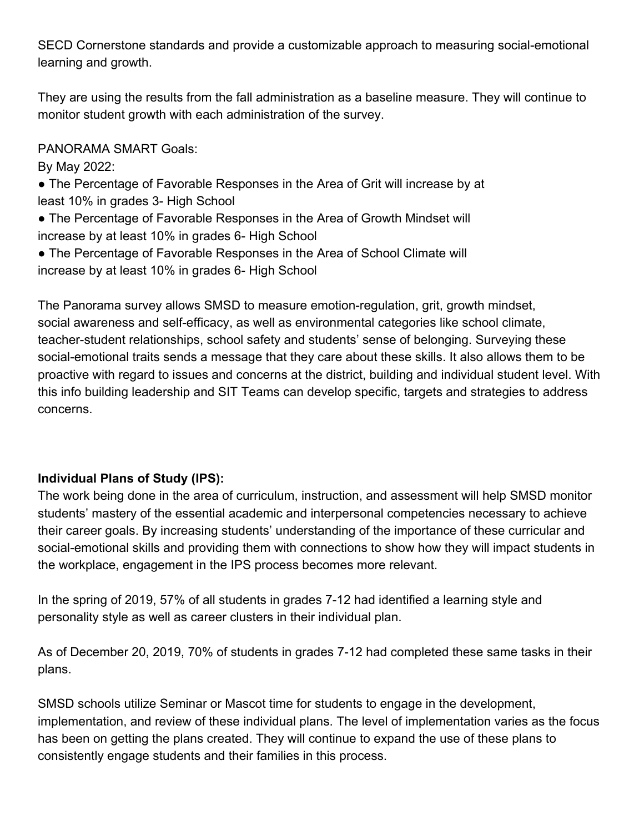SECD Cornerstone standards and provide a customizable approach to measuring social-emotional learning and growth.

They are using the results from the fall administration as a baseline measure. They will continue to monitor student growth with each administration of the survey.

PANORAMA SMART Goals:

By May 2022:

- The Percentage of Favorable Responses in the Area of Grit will increase by at least 10% in grades 3- High School
- The Percentage of Favorable Responses in the Area of Growth Mindset will increase by at least 10% in grades 6- High School
- The Percentage of Favorable Responses in the Area of School Climate will increase by at least 10% in grades 6- High School

The Panorama survey allows SMSD to measure emotion-regulation, grit, growth mindset, social awareness and self-efficacy, as well as environmental categories like school climate, teacher-student relationships, school safety and students' sense of belonging. Surveying these social-emotional traits sends a message that they care about these skills. It also allows them to be proactive with regard to issues and concerns at the district, building and individual student level. With this info building leadership and SIT Teams can develop specific, targets and strategies to address concerns.

#### **Individual Plans of Study (IPS):**

The work being done in the area of curriculum, instruction, and assessment will help SMSD monitor students' mastery of the essential academic and interpersonal competencies necessary to achieve their career goals. By increasing students' understanding of the importance of these curricular and social-emotional skills and providing them with connections to show how they will impact students in the workplace, engagement in the IPS process becomes more relevant.

In the spring of 2019, 57% of all students in grades 7-12 had identified a learning style and personality style as well as career clusters in their individual plan.

As of December 20, 2019, 70% of students in grades 7-12 had completed these same tasks in their plans.

SMSD schools utilize Seminar or Mascot time for students to engage in the development, implementation, and review of these individual plans. The level of implementation varies as the focus has been on getting the plans created. They will continue to expand the use of these plans to consistently engage students and their families in this process.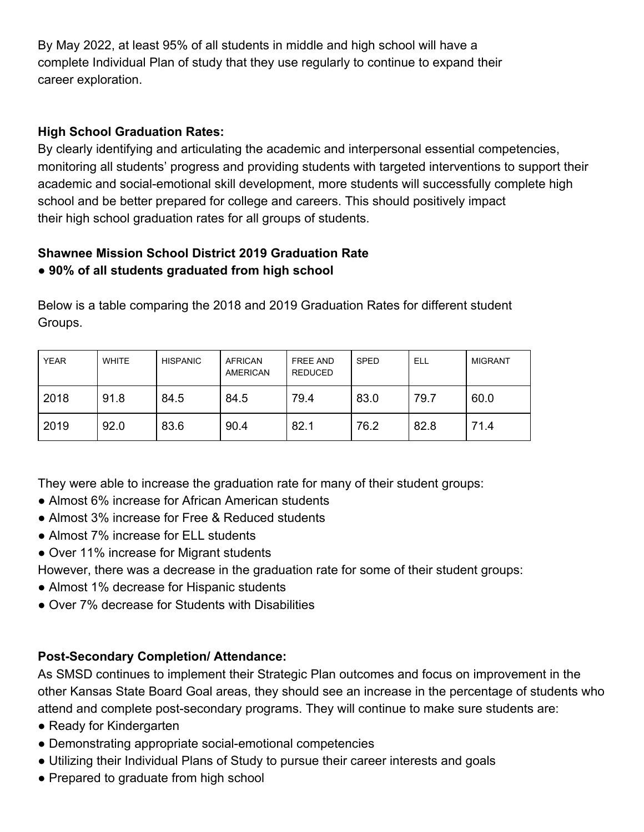By May 2022, at least 95% of all students in middle and high school will have a complete Individual Plan of study that they use regularly to continue to expand their career exploration.

#### **High School Graduation Rates:**

By clearly identifying and articulating the academic and interpersonal essential competencies, monitoring all students' progress and providing students with targeted interventions to support their academic and social-emotional skill development, more students will successfully complete high school and be better prepared for college and careers. This should positively impact their high school graduation rates for all groups of students.

#### **Shawnee Mission School District 2019 Graduation Rate ● 90% of all students graduated from high school**

Below is a table comparing the 2018 and 2019 Graduation Rates for different student Groups.

| <b>YEAR</b> | <b>WHITE</b> | <b>HISPANIC</b> | <b>AFRICAN</b><br><b>AMERICAN</b> | <b>FREE AND</b><br><b>REDUCED</b> | <b>SPED</b> | ELL  | <b>MIGRANT</b> |
|-------------|--------------|-----------------|-----------------------------------|-----------------------------------|-------------|------|----------------|
| 2018        | 91.8         | 84.5            | 84.5                              | 79.4                              | 83.0        | 79.7 | 60.0           |
| 2019        | 92.0         | 83.6            | 90.4                              | 82.1                              | 76.2        | 82.8 | 71.4           |

They were able to increase the graduation rate for many of their student groups:

- Almost 6% increase for African American students
- Almost 3% increase for Free & Reduced students
- Almost 7% increase for ELL students
- Over 11% increase for Migrant students
- However, there was a decrease in the graduation rate for some of their student groups:
- Almost 1% decrease for Hispanic students
- Over 7% decrease for Students with Disabilities

#### **Post-Secondary Completion/ Attendance:**

As SMSD continues to implement their Strategic Plan outcomes and focus on improvement in the other Kansas State Board Goal areas, they should see an increase in the percentage of students who attend and complete post-secondary programs. They will continue to make sure students are:

- Ready for Kindergarten
- Demonstrating appropriate social-emotional competencies
- Utilizing their Individual Plans of Study to pursue their career interests and goals
- Prepared to graduate from high school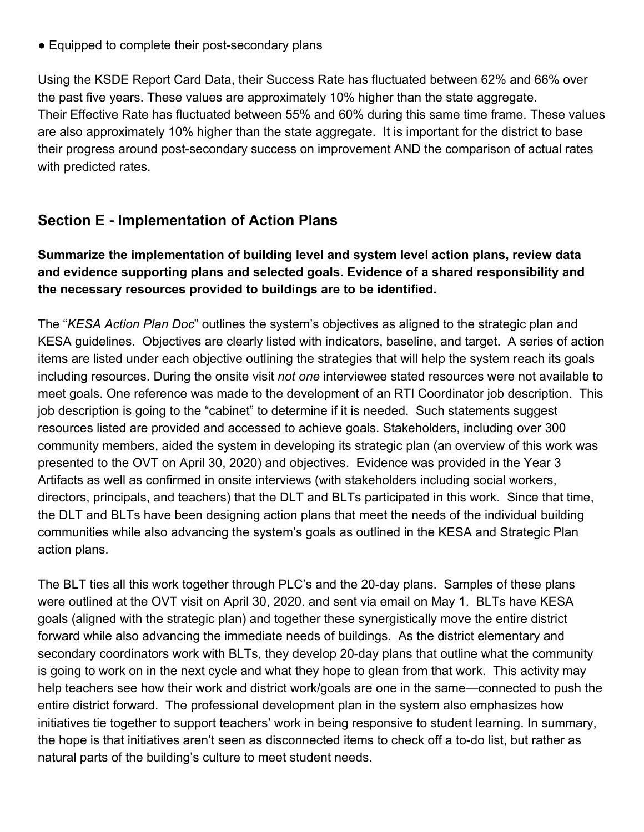● Equipped to complete their post-secondary plans

Using the KSDE Report Card Data, their Success Rate has fluctuated between 62% and 66% over the past five years. These values are approximately 10% higher than the state aggregate. Their Effective Rate has fluctuated between 55% and 60% during this same time frame. These values are also approximately 10% higher than the state aggregate. It is important for the district to base their progress around post-secondary success on improvement AND the comparison of actual rates with predicted rates.

## **Section E - Implementation of Action Plans**

#### **Summarize the implementation of building level and system level action plans, review data and evidence supporting plans and selected goals. Evidence of a shared responsibility and the necessary resources provided to buildings are to be identified.**

The "*KESA Action Plan Doc*" outlines the system's objectives as aligned to the strategic plan and KESA guidelines. Objectives are clearly listed with indicators, baseline, and target. A series of action items are listed under each objective outlining the strategies that will help the system reach its goals including resources. During the onsite visit *not one* interviewee stated resources were not available to meet goals. One reference was made to the development of an RTI Coordinator job description. This job description is going to the "cabinet" to determine if it is needed. Such statements suggest resources listed are provided and accessed to achieve goals. Stakeholders, including over 300 community members, aided the system in developing its strategic plan (an overview of this work was presented to the OVT on April 30, 2020) and objectives. Evidence was provided in the Year 3 Artifacts as well as confirmed in onsite interviews (with stakeholders including social workers, directors, principals, and teachers) that the DLT and BLTs participated in this work. Since that time, the DLT and BLTs have been designing action plans that meet the needs of the individual building communities while also advancing the system's goals as outlined in the KESA and Strategic Plan action plans.

The BLT ties all this work together through PLC's and the 20-day plans. Samples of these plans were outlined at the OVT visit on April 30, 2020. and sent via email on May 1. BLTs have KESA goals (aligned with the strategic plan) and together these synergistically move the entire district forward while also advancing the immediate needs of buildings. As the district elementary and secondary coordinators work with BLTs, they develop 20-day plans that outline what the community is going to work on in the next cycle and what they hope to glean from that work. This activity may help teachers see how their work and district work/goals are one in the same—connected to push the entire district forward. The professional development plan in the system also emphasizes how initiatives tie together to support teachers' work in being responsive to student learning. In summary, the hope is that initiatives aren't seen as disconnected items to check off a to-do list, but rather as natural parts of the building's culture to meet student needs.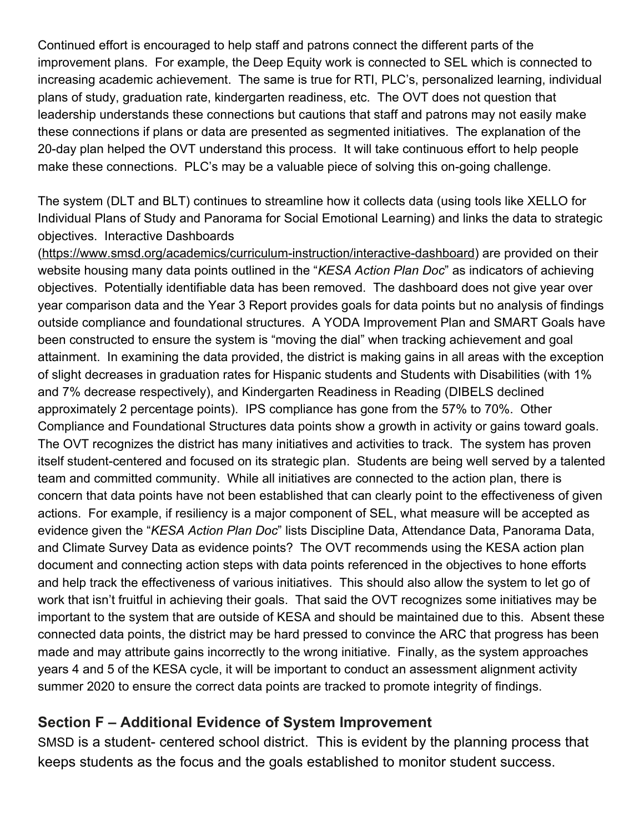Continued effort is encouraged to help staff and patrons connect the different parts of the improvement plans. For example, the Deep Equity work is connected to SEL which is connected to increasing academic achievement. The same is true for RTI, PLC's, personalized learning, individual plans of study, graduation rate, kindergarten readiness, etc. The OVT does not question that leadership understands these connections but cautions that staff and patrons may not easily make these connections if plans or data are presented as segmented initiatives. The explanation of the 20-day plan helped the OVT understand this process. It will take continuous effort to help people make these connections. PLC's may be a valuable piece of solving this on-going challenge.

The system (DLT and BLT) continues to streamline how it collects data (using tools like XELLO for Individual Plans of Study and Panorama for Social Emotional Learning) and links the data to strategic objectives. Interactive Dashboards

([https://www.smsd.org/academics/curriculum-instruction/interactive-dashboard\)](https://www.smsd.org/academics/curriculum-instruction/interactive-dashboard) are provided on their website housing many data points outlined in the "*KESA Action Plan Doc*" as indicators of achieving objectives. Potentially identifiable data has been removed. The dashboard does not give year over year comparison data and the Year 3 Report provides goals for data points but no analysis of findings outside compliance and foundational structures. A YODA Improvement Plan and SMART Goals have been constructed to ensure the system is "moving the dial" when tracking achievement and goal attainment. In examining the data provided, the district is making gains in all areas with the exception of slight decreases in graduation rates for Hispanic students and Students with Disabilities (with 1% and 7% decrease respectively), and Kindergarten Readiness in Reading (DIBELS declined approximately 2 percentage points). IPS compliance has gone from the 57% to 70%. Other Compliance and Foundational Structures data points show a growth in activity or gains toward goals. The OVT recognizes the district has many initiatives and activities to track. The system has proven itself student-centered and focused on its strategic plan. Students are being well served by a talented team and committed community. While all initiatives are connected to the action plan, there is concern that data points have not been established that can clearly point to the effectiveness of given actions. For example, if resiliency is a major component of SEL, what measure will be accepted as evidence given the "*KESA Action Plan Doc*" lists Discipline Data, Attendance Data, Panorama Data, and Climate Survey Data as evidence points? The OVT recommends using the KESA action plan document and connecting action steps with data points referenced in the objectives to hone efforts and help track the effectiveness of various initiatives. This should also allow the system to let go of work that isn't fruitful in achieving their goals. That said the OVT recognizes some initiatives may be important to the system that are outside of KESA and should be maintained due to this. Absent these connected data points, the district may be hard pressed to convince the ARC that progress has been made and may attribute gains incorrectly to the wrong initiative. Finally, as the system approaches years 4 and 5 of the KESA cycle, it will be important to conduct an assessment alignment activity summer 2020 to ensure the correct data points are tracked to promote integrity of findings.

## **Section F – Additional Evidence of System Improvement**

SMSD is a student- centered school district. This is evident by the planning process that keeps students as the focus and the goals established to monitor student success.